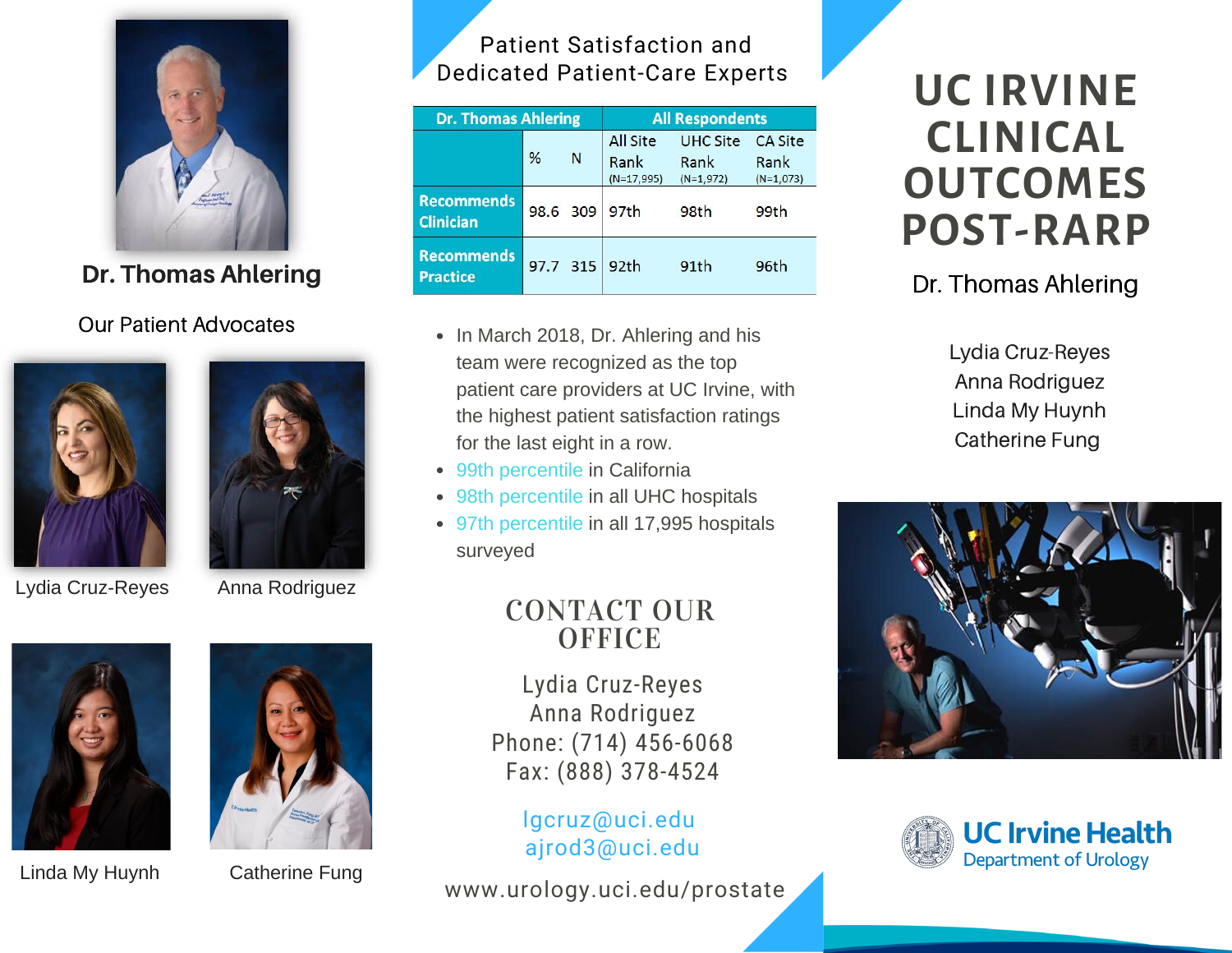

Dr. Thomas Ahlering

#### Our Patient Advocates





Lydia Cruz-Reyes Anna Rodriguez



Linda My Huynh



Catherine Fung

## Patient Satisfaction and Dedicated Patient-Care Experts

| <b>Dr. Thomas Ahlering</b>            |          |   | <b>All Respondents</b>                  |                                        |                                       |
|---------------------------------------|----------|---|-----------------------------------------|----------------------------------------|---------------------------------------|
|                                       | %        | N | <b>All Site</b><br>Rank<br>$(N=17,995)$ | <b>UHC Site</b><br>Rank<br>$(N=1,972)$ | <b>CA Site</b><br>Rank<br>$(N=1,073)$ |
| <b>Recommends</b><br><b>Clinician</b> | 98.6 309 |   | 97 <sub>th</sub>                        | 98th                                   | 99th                                  |
| <b>Recommends</b><br><b>Practice</b>  | 97.7 315 |   | 92 <sub>th</sub>                        | 91th                                   | 96th                                  |

- In March 2018, Dr. Ahlering and his team were recognized as the top patient care providers at UC Irvine, with the highest patient satisfaction ratings for the last eight in a row.
- 99th percentile in California
- 98th percentile in all UHC hospitals
- 97th percentile in all 17,995 hospitals surveyed

# CONTACT OUR **OFFICE**

Lydia Cruz-Reyes Anna Rodriguez Phone: (714) 456-6068 Fax: (888) 378-4524

> lgcruz@uci.edu ajrod3@uci.edu

www.urology.uci.edu/prostate

# **UC IRVINE CLINICAL OUTCOMES POST-RARP**

# Dr. Thomas Ahlering

Lydia Cruz-Reyes Anna Rodriguez Linda My Huynh Catherine Fung